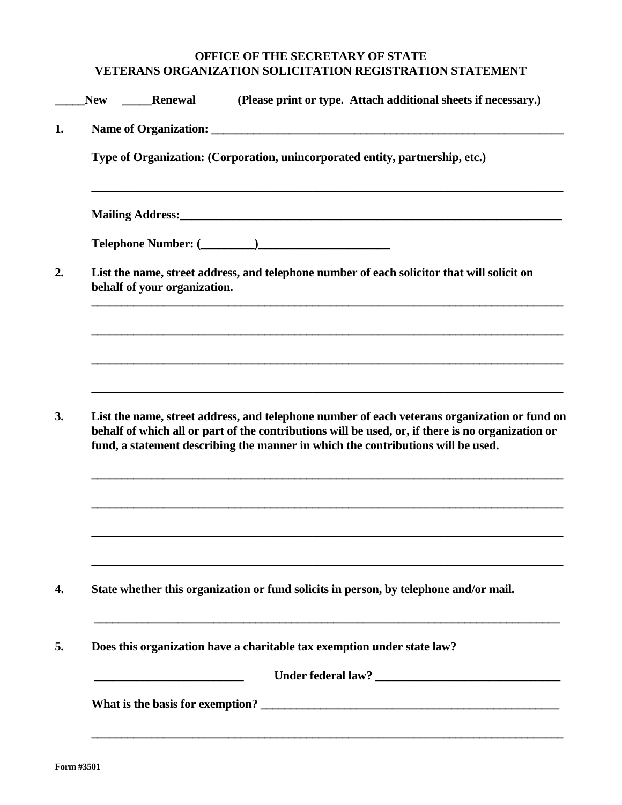## **OFFICE OF THE SECRETARY OF STATE VETERANS ORGANIZATION SOLICITATION REGISTRATION STATEMENT**

| Renewal                      | (Please print or type. Attach additional sheets if necessary.)                                                                                                                                                                                                                        |  |
|------------------------------|---------------------------------------------------------------------------------------------------------------------------------------------------------------------------------------------------------------------------------------------------------------------------------------|--|
|                              |                                                                                                                                                                                                                                                                                       |  |
|                              | Type of Organization: (Corporation, unincorporated entity, partnership, etc.)                                                                                                                                                                                                         |  |
|                              | Mailing Address: 1988 and 2008 and 2008 and 2008 and 2008 and 2008 and 2008 and 2008 and 2008 and 2008 and 200                                                                                                                                                                        |  |
|                              |                                                                                                                                                                                                                                                                                       |  |
| behalf of your organization. | List the name, street address, and telephone number of each solicitor that will solicit on                                                                                                                                                                                            |  |
|                              |                                                                                                                                                                                                                                                                                       |  |
|                              |                                                                                                                                                                                                                                                                                       |  |
|                              |                                                                                                                                                                                                                                                                                       |  |
|                              |                                                                                                                                                                                                                                                                                       |  |
|                              | List the name, street address, and telephone number of each veterans organization or fund on<br>behalf of which all or part of the contributions will be used, or, if there is no organization or<br>fund, a statement describing the manner in which the contributions will be used. |  |
|                              |                                                                                                                                                                                                                                                                                       |  |
|                              |                                                                                                                                                                                                                                                                                       |  |
|                              | State whether this organization or fund solicits in person, by telephone and/or mail.                                                                                                                                                                                                 |  |
|                              | Does this organization have a charitable tax exemption under state law?                                                                                                                                                                                                               |  |
|                              |                                                                                                                                                                                                                                                                                       |  |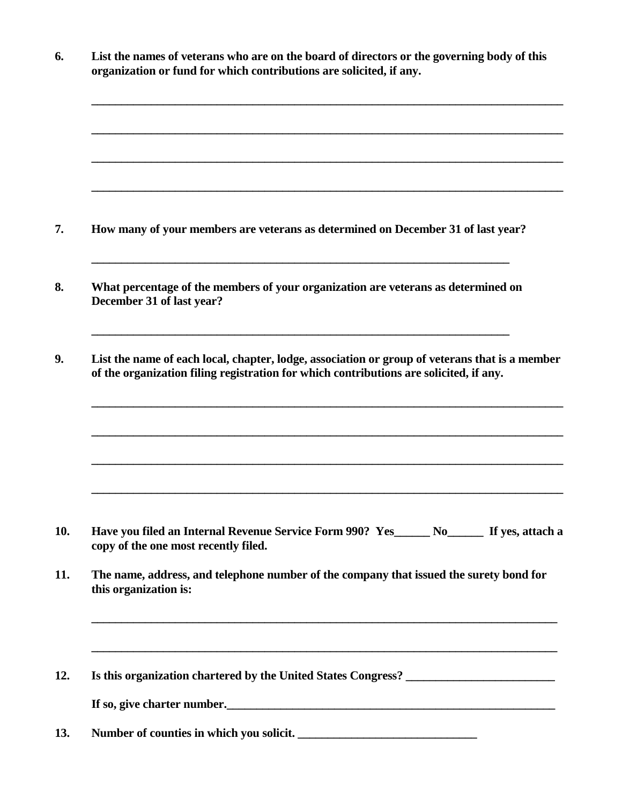| List the names of veterans who are on the board of directors or the governing body of this<br>organization or fund for which contributions are solicited, if any.                        |
|------------------------------------------------------------------------------------------------------------------------------------------------------------------------------------------|
|                                                                                                                                                                                          |
|                                                                                                                                                                                          |
| How many of your members are veterans as determined on December 31 of last year?                                                                                                         |
| What percentage of the members of your organization are veterans as determined on<br>December 31 of last year?                                                                           |
| List the name of each local, chapter, lodge, association or group of veterans that is a member<br>of the organization filing registration for which contributions are solicited, if any. |
|                                                                                                                                                                                          |
| Have you filed an Internal Revenue Service Form 990? Yes No No Kosastach a<br>copy of the one most recently filed.                                                                       |
|                                                                                                                                                                                          |
| The name, address, and telephone number of the company that issued the surety bond for<br>this organization is:                                                                          |
| ,我们也不会有什么。""我们的人,我们也不会有什么?""我们的人,我们也不会有什么?""我们的人,我们也不会有什么?""我们的人,我们也不会有什么?""我们的人                                                                                                         |
| Is this organization chartered by the United States Congress? ___________________<br>If so, give charter number.<br><u>If</u> so, give charter number.                                   |